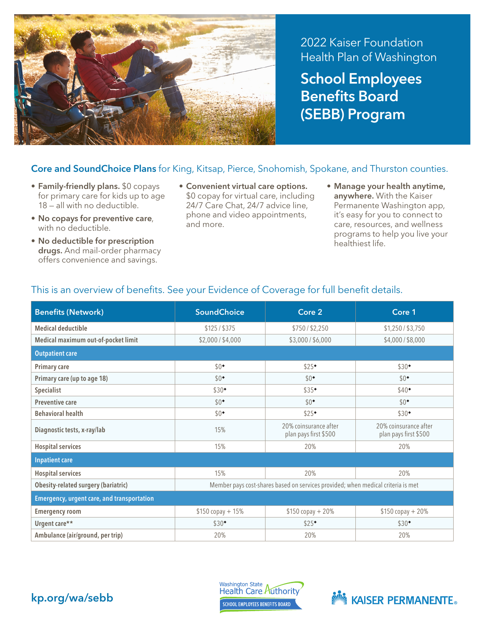

2022 Kaiser Foundation Health Plan of Washington School Employees Benefits Board (SEBB) Program

## Core and SoundChoice Plans for King, Kitsap, Pierce, Snohomish, Spokane, and Thurston counties.

- Family-friendly plans. \$0 copays for primary care for kids up to age 18 — all with no deductible.
- No copays for preventive care, with no deductible.
- No deductible for prescription drugs. And mail-order pharmacy offers convenience and savings.
- Convenient virtual care options. \$0 copay for virtual care, including 24/7 Care Chat, 24/7 advice line, phone and video appointments, and more.
- Manage your health anytime, anywhere. With the Kaiser Permanente Washington app, it's easy for you to connect to care, resources, and wellness programs to help you live your healthiest life.

| <b>Benefits (Network)</b>                         | <b>SoundChoice</b>                                                               | Core 2                                         | Core 1                                         |  |  |
|---------------------------------------------------|----------------------------------------------------------------------------------|------------------------------------------------|------------------------------------------------|--|--|
| <b>Medical deductible</b>                         | \$125 / \$375                                                                    | \$750 / \$2,250                                | \$1,250 / \$3,750                              |  |  |
| Medical maximum out-of-pocket limit               | \$2,000 / \$4,000                                                                | \$3,000/\$6,000                                | \$4,000/\$8,000                                |  |  |
| <b>Outpatient care</b>                            |                                                                                  |                                                |                                                |  |  |
| <b>Primary care</b>                               | $$0*$                                                                            | \$25                                           | $$30*$                                         |  |  |
| Primary care (up to age 18)                       | $$0^{\bullet}$                                                                   | $$0^{\bullet}$                                 | $$0^{\bullet}$                                 |  |  |
| <b>Specialist</b>                                 | $$30^{\bullet}$                                                                  | \$35                                           | \$40                                           |  |  |
| <b>Preventive care</b>                            | $$0^{\bullet}$                                                                   | $$0^{\bullet}$                                 | $$0^{\bullet}$                                 |  |  |
| <b>Behavioral health</b>                          | $$0*$                                                                            | \$25                                           | $$30*$                                         |  |  |
| Diagnostic tests, x-ray/lab                       | 15%                                                                              | 20% coinsurance after<br>plan pays first \$500 | 20% coinsurance after<br>plan pays first \$500 |  |  |
| <b>Hospital services</b>                          | 15%                                                                              | 20%                                            | 20%                                            |  |  |
| <b>Inpatient care</b>                             |                                                                                  |                                                |                                                |  |  |
| <b>Hospital services</b>                          | 15%                                                                              | 20%                                            | 20%                                            |  |  |
| <b>Obesity-related surgery (bariatric)</b>        | Member pays cost-shares based on services provided; when medical criteria is met |                                                |                                                |  |  |
| <b>Emergency, urgent care, and transportation</b> |                                                                                  |                                                |                                                |  |  |
| <b>Emergency room</b>                             | $$150 copy + 15%$                                                                | $$150 copy + 20%$                              | $$150 copy + 20%$                              |  |  |
| Urgent care**                                     | $$30^{\bullet}$                                                                  | \$25                                           | $$30*$                                         |  |  |
| Ambulance (air/ground, per trip)                  | 20%                                                                              | 20%                                            | 20%                                            |  |  |

## This is an overview of benefits. See your Evidence of Coverage for full benefit details.



Washington State<br>Health Care Authority **SCHOOL EMPLOYEES BENEFITS BOARD**